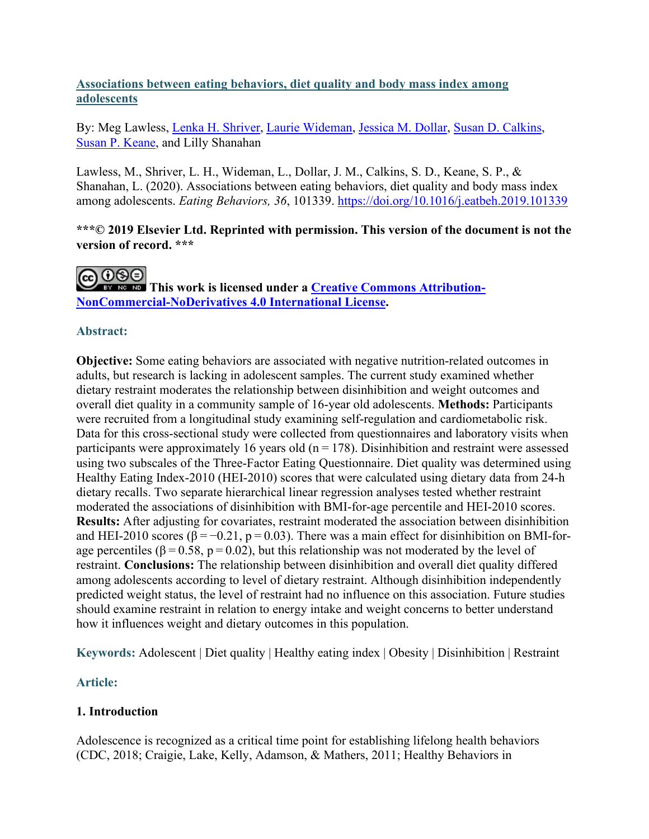## **Associations between eating behaviors, diet quality and body mass index among adolescents**

By: Meg Lawless, [Lenka H. Shriver,](http://libres.uncg.edu/ir/uncg/clist.aspx?id=23773) [Laurie Wideman,](http://libres.uncg.edu/ir/uncg/clist.aspx?id=1444) [Jessica M. Dollar,](http://libres.uncg.edu/ir/uncg/clist.aspx?id=20675) [Susan D. Calkins,](http://libres.uncg.edu/ir/uncg/clist.aspx?id=1258) [Susan P. Keane,](http://libres.uncg.edu/ir/uncg/clist.aspx?id=557) and Lilly Shanahan

Lawless, M., Shriver, L. H., Wideman, L., Dollar, J. M., Calkins, S. D., Keane, S. P., & Shanahan, L. (2020). Associations between eating behaviors, diet quality and body mass index among adolescents. *Eating Behaviors, 36*, 101339. <https://doi.org/10.1016/j.eatbeh.2019.101339>

**\*\*\*© 2019 Elsevier Ltd. Reprinted with permission. This version of the document is not the version of record. \*\*\*** 

**This work is licensed under a [Creative Commons Attribution-](http://creativecommons.org/licenses/by-nc-nd/4.0/)[NonCommercial-NoDerivatives 4.0 International License.](http://creativecommons.org/licenses/by-nc-nd/4.0/)** 

## **Abstract:**

**Objective:** Some eating behaviors are associated with negative nutrition-related outcomes in adults, but research is lacking in adolescent samples. The current study examined whether dietary restraint moderates the relationship between disinhibition and weight outcomes and overall diet quality in a community sample of 16-year old adolescents. **Methods:** Participants were recruited from a longitudinal study examining self-regulation and cardiometabolic risk. Data for this cross-sectional study were collected from questionnaires and laboratory visits when participants were approximately 16 years old ( $n = 178$ ). Disinhibition and restraint were assessed using two subscales of the Three-Factor Eating Questionnaire. Diet quality was determined using Healthy Eating Index-2010 (HEI-2010) scores that were calculated using dietary data from 24-h dietary recalls. Two separate hierarchical linear regression analyses tested whether restraint moderated the associations of disinhibition with BMI-for-age percentile and HEI-2010 scores. **Results:** After adjusting for covariates, restraint moderated the association between disinhibition and HEI-2010 scores ( $\beta = -0.21$ ,  $p = 0.03$ ). There was a main effect for disinhibition on BMI-forage percentiles ( $\beta = 0.58$ ,  $p = 0.02$ ), but this relationship was not moderated by the level of restraint. **Conclusions:** The relationship between disinhibition and overall diet quality differed among adolescents according to level of dietary restraint. Although disinhibition independently predicted weight status, the level of restraint had no influence on this association. Future studies should examine restraint in relation to energy intake and weight concerns to better understand how it influences weight and dietary outcomes in this population.

**Keywords:** Adolescent | Diet quality | Healthy eating index | Obesity | Disinhibition | Restraint

# **Article:**

# **1. Introduction**

Adolescence is recognized as a critical time point for establishing lifelong health behaviors (CDC, 2018; Craigie, Lake, Kelly, Adamson, & Mathers, 2011; Healthy Behaviors in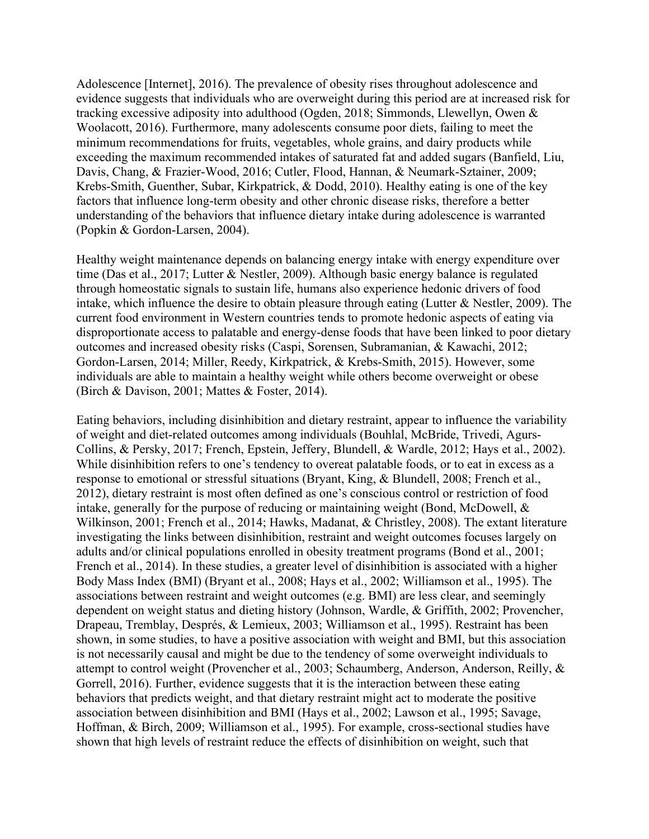Adolescence [Internet], 2016). The prevalence of obesity rises throughout adolescence and evidence suggests that individuals who are overweight during this period are at increased risk for tracking excessive adiposity into adulthood (Ogden, 2018; Simmonds, Llewellyn, Owen & Woolacott, 2016). Furthermore, many adolescents consume poor diets, failing to meet the minimum recommendations for fruits, vegetables, whole grains, and dairy products while exceeding the maximum recommended intakes of saturated fat and added sugars (Banfield, Liu, Davis, Chang, & Frazier-Wood, 2016; Cutler, Flood, Hannan, & Neumark-Sztainer, 2009; Krebs-Smith, Guenther, Subar, Kirkpatrick, & Dodd, 2010). Healthy eating is one of the key factors that influence long-term obesity and other chronic disease risks, therefore a better understanding of the behaviors that influence dietary intake during adolescence is warranted (Popkin & Gordon-Larsen, 2004).

Healthy weight maintenance depends on balancing energy intake with energy expenditure over time (Das et al., 2017; Lutter & Nestler, 2009). Although basic energy balance is regulated through homeostatic signals to sustain life, humans also experience hedonic drivers of food intake, which influence the desire to obtain pleasure through eating (Lutter & Nestler, 2009). The current food environment in Western countries tends to promote hedonic aspects of eating via disproportionate access to palatable and energy-dense foods that have been linked to poor dietary outcomes and increased obesity risks (Caspi, Sorensen, Subramanian, & Kawachi, 2012; Gordon-Larsen, 2014; Miller, Reedy, Kirkpatrick, & Krebs-Smith, 2015). However, some individuals are able to maintain a healthy weight while others become overweight or obese (Birch & Davison, 2001; Mattes & Foster, 2014).

Eating behaviors, including disinhibition and dietary restraint, appear to influence the variability of weight and diet-related outcomes among individuals (Bouhlal, McBride, Trivedi, Agurs-Collins, & Persky, 2017; French, Epstein, Jeffery, Blundell, & Wardle, 2012; Hays et al., 2002). While disinhibition refers to one's tendency to overeat palatable foods, or to eat in excess as a response to emotional or stressful situations (Bryant, King, & Blundell, 2008; French et al., 2012), dietary restraint is most often defined as one's conscious control or restriction of food intake, generally for the purpose of reducing or maintaining weight (Bond, McDowell, & Wilkinson, 2001; French et al., 2014; Hawks, Madanat, & Christley, 2008). The extant literature investigating the links between disinhibition, restraint and weight outcomes focuses largely on adults and/or clinical populations enrolled in obesity treatment programs (Bond et al., 2001; French et al., 2014). In these studies, a greater level of disinhibition is associated with a higher Body Mass Index (BMI) (Bryant et al., 2008; Hays et al., 2002; Williamson et al., 1995). The associations between restraint and weight outcomes (e.g. BMI) are less clear, and seemingly dependent on weight status and dieting history (Johnson, Wardle, & Griffith, 2002; Provencher, Drapeau, Tremblay, Després, & Lemieux, 2003; Williamson et al., 1995). Restraint has been shown, in some studies, to have a positive association with weight and BMI, but this association is not necessarily causal and might be due to the tendency of some overweight individuals to attempt to control weight (Provencher et al., 2003; Schaumberg, Anderson, Anderson, Reilly, & Gorrell, 2016). Further, evidence suggests that it is the interaction between these eating behaviors that predicts weight, and that dietary restraint might act to moderate the positive association between disinhibition and BMI (Hays et al., 2002; Lawson et al., 1995; Savage, Hoffman, & Birch, 2009; Williamson et al., 1995). For example, cross-sectional studies have shown that high levels of restraint reduce the effects of disinhibition on weight, such that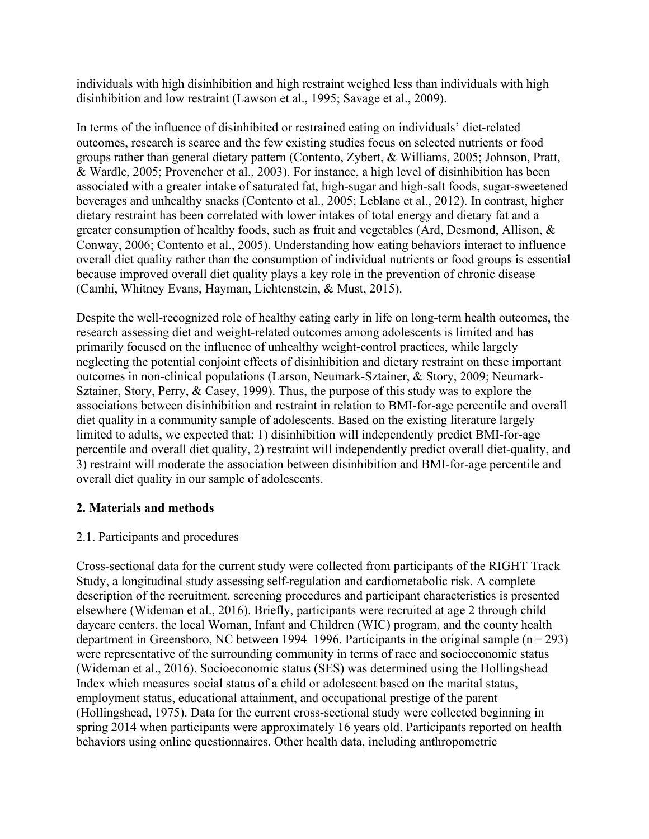individuals with high disinhibition and high restraint weighed less than individuals with high disinhibition and low restraint (Lawson et al., 1995; Savage et al., 2009).

In terms of the influence of disinhibited or restrained eating on individuals' diet-related outcomes, research is scarce and the few existing studies focus on selected nutrients or food groups rather than general dietary pattern (Contento, Zybert, & Williams, 2005; Johnson, Pratt, & Wardle, 2005; Provencher et al., 2003). For instance, a high level of disinhibition has been associated with a greater intake of saturated fat, high-sugar and high-salt foods, sugar-sweetened beverages and unhealthy snacks (Contento et al., 2005; Leblanc et al., 2012). In contrast, higher dietary restraint has been correlated with lower intakes of total energy and dietary fat and a greater consumption of healthy foods, such as fruit and vegetables (Ard, Desmond, Allison, & Conway, 2006; Contento et al., 2005). Understanding how eating behaviors interact to influence overall diet quality rather than the consumption of individual nutrients or food groups is essential because improved overall diet quality plays a key role in the prevention of chronic disease (Camhi, Whitney Evans, Hayman, Lichtenstein, & Must, 2015).

Despite the well-recognized role of healthy eating early in life on long-term health outcomes, the research assessing diet and weight-related outcomes among adolescents is limited and has primarily focused on the influence of unhealthy weight-control practices, while largely neglecting the potential conjoint effects of disinhibition and dietary restraint on these important outcomes in non-clinical populations (Larson, Neumark-Sztainer, & Story, 2009; Neumark-Sztainer, Story, Perry, & Casey, 1999). Thus, the purpose of this study was to explore the associations between disinhibition and restraint in relation to BMI-for-age percentile and overall diet quality in a community sample of adolescents. Based on the existing literature largely limited to adults, we expected that: 1) disinhibition will independently predict BMI-for-age percentile and overall diet quality, 2) restraint will independently predict overall diet-quality, and 3) restraint will moderate the association between disinhibition and BMI-for-age percentile and overall diet quality in our sample of adolescents.

## **2. Materials and methods**

#### 2.1. Participants and procedures

Cross-sectional data for the current study were collected from participants of the RIGHT Track Study, a longitudinal study assessing self-regulation and cardiometabolic risk. A complete description of the recruitment, screening procedures and participant characteristics is presented elsewhere (Wideman et al., 2016). Briefly, participants were recruited at age 2 through child daycare centers, the local Woman, Infant and Children (WIC) program, and the county health department in Greensboro, NC between 1994–1996. Participants in the original sample (n = 293) were representative of the surrounding community in terms of race and socioeconomic status (Wideman et al., 2016). Socioeconomic status (SES) was determined using the Hollingshead Index which measures social status of a child or adolescent based on the marital status, employment status, educational attainment, and occupational prestige of the parent (Hollingshead, 1975). Data for the current cross-sectional study were collected beginning in spring 2014 when participants were approximately 16 years old. Participants reported on health behaviors using online questionnaires. Other health data, including anthropometric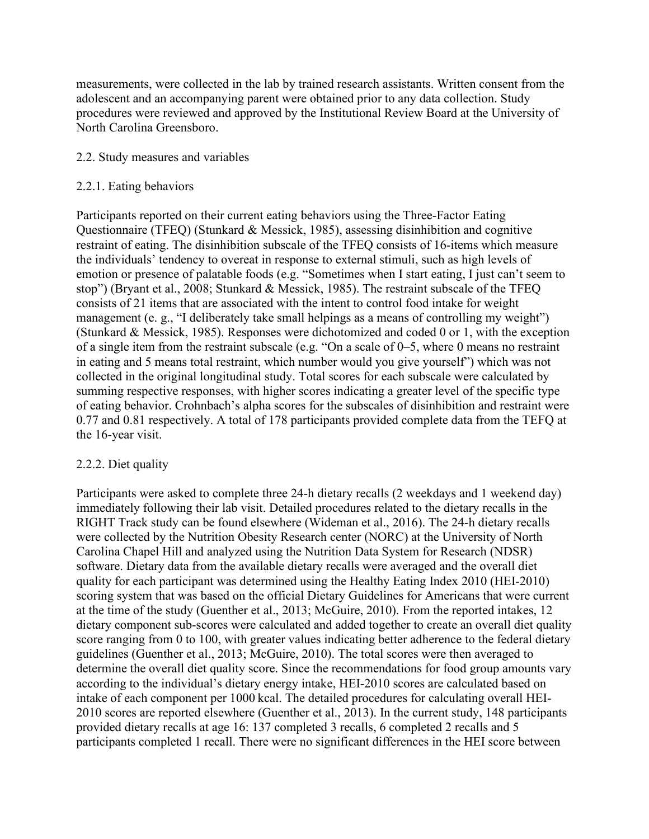measurements, were collected in the lab by trained research assistants. Written consent from the adolescent and an accompanying parent were obtained prior to any data collection. Study procedures were reviewed and approved by the Institutional Review Board at the University of North Carolina Greensboro.

#### 2.2. Study measures and variables

### 2.2.1. Eating behaviors

Participants reported on their current eating behaviors using the Three-Factor Eating Questionnaire (TFEQ) (Stunkard & Messick, 1985), assessing disinhibition and cognitive restraint of eating. The disinhibition subscale of the TFEQ consists of 16-items which measure the individuals' tendency to overeat in response to external stimuli, such as high levels of emotion or presence of palatable foods (e.g. "Sometimes when I start eating, I just can't seem to stop") (Bryant et al., 2008; Stunkard & Messick, 1985). The restraint subscale of the TFEQ consists of 21 items that are associated with the intent to control food intake for weight management (e. g., "I deliberately take small helpings as a means of controlling my weight") (Stunkard & Messick, 1985). Responses were dichotomized and coded 0 or 1, with the exception of a single item from the restraint subscale (e.g. "On a scale of 0–5, where 0 means no restraint in eating and 5 means total restraint, which number would you give yourself") which was not collected in the original longitudinal study. Total scores for each subscale were calculated by summing respective responses, with higher scores indicating a greater level of the specific type of eating behavior. Crohnbach's alpha scores for the subscales of disinhibition and restraint were 0.77 and 0.81 respectively. A total of 178 participants provided complete data from the TEFQ at the 16-year visit.

#### 2.2.2. Diet quality

Participants were asked to complete three 24-h dietary recalls (2 weekdays and 1 weekend day) immediately following their lab visit. Detailed procedures related to the dietary recalls in the RIGHT Track study can be found elsewhere (Wideman et al., 2016). The 24-h dietary recalls were collected by the Nutrition Obesity Research center (NORC) at the University of North Carolina Chapel Hill and analyzed using the Nutrition Data System for Research (NDSR) software. Dietary data from the available dietary recalls were averaged and the overall diet quality for each participant was determined using the Healthy Eating Index 2010 (HEI-2010) scoring system that was based on the official Dietary Guidelines for Americans that were current at the time of the study (Guenther et al., 2013; McGuire, 2010). From the reported intakes, 12 dietary component sub-scores were calculated and added together to create an overall diet quality score ranging from 0 to 100, with greater values indicating better adherence to the federal dietary guidelines (Guenther et al., 2013; McGuire, 2010). The total scores were then averaged to determine the overall diet quality score. Since the recommendations for food group amounts vary according to the individual's dietary energy intake, HEI-2010 scores are calculated based on intake of each component per 1000 kcal. The detailed procedures for calculating overall HEI-2010 scores are reported elsewhere (Guenther et al., 2013). In the current study, 148 participants provided dietary recalls at age 16: 137 completed 3 recalls, 6 completed 2 recalls and 5 participants completed 1 recall. There were no significant differences in the HEI score between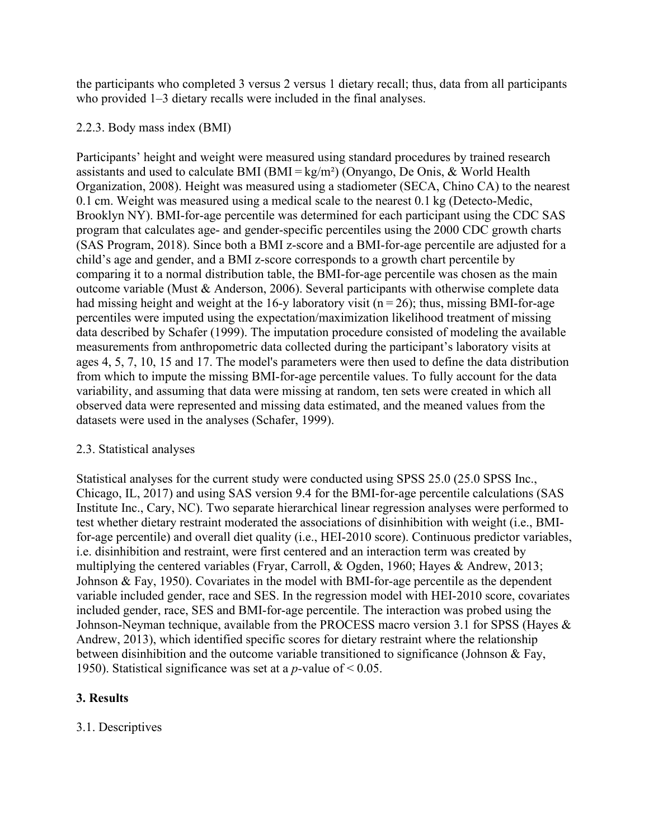the participants who completed 3 versus 2 versus 1 dietary recall; thus, data from all participants who provided 1–3 dietary recalls were included in the final analyses.

## 2.2.3. Body mass index (BMI)

Participants' height and weight were measured using standard procedures by trained research assistants and used to calculate BMI (BMI =  $kg/m<sup>2</sup>$ ) (Onyango, De Onis, & World Health Organization, 2008). Height was measured using a stadiometer (SECA, Chino CA) to the nearest 0.1 cm. Weight was measured using a medical scale to the nearest 0.1 kg (Detecto-Medic, Brooklyn NY). BMI-for-age percentile was determined for each participant using the CDC SAS program that calculates age- and gender-specific percentiles using the 2000 CDC growth charts (SAS Program, 2018). Since both a BMI z-score and a BMI-for-age percentile are adjusted for a child's age and gender, and a BMI z-score corresponds to a growth chart percentile by comparing it to a normal distribution table, the BMI-for-age percentile was chosen as the main outcome variable (Must & Anderson, 2006). Several participants with otherwise complete data had missing height and weight at the 16-y laboratory visit ( $n = 26$ ); thus, missing BMI-for-age percentiles were imputed using the expectation/maximization likelihood treatment of missing data described by Schafer (1999). The imputation procedure consisted of modeling the available measurements from anthropometric data collected during the participant's laboratory visits at ages 4, 5, 7, 10, 15 and 17. The model's parameters were then used to define the data distribution from which to impute the missing BMI-for-age percentile values. To fully account for the data variability, and assuming that data were missing at random, ten sets were created in which all observed data were represented and missing data estimated, and the meaned values from the datasets were used in the analyses (Schafer, 1999).

#### 2.3. Statistical analyses

Statistical analyses for the current study were conducted using SPSS 25.0 (25.0 SPSS Inc., Chicago, IL, 2017) and using SAS version 9.4 for the BMI-for-age percentile calculations (SAS Institute Inc., Cary, NC). Two separate hierarchical linear regression analyses were performed to test whether dietary restraint moderated the associations of disinhibition with weight (i.e., BMIfor-age percentile) and overall diet quality (i.e., HEI-2010 score). Continuous predictor variables, i.e. disinhibition and restraint, were first centered and an interaction term was created by multiplying the centered variables (Fryar, Carroll, & Ogden, 1960; Hayes & Andrew, 2013; Johnson & Fay, 1950). Covariates in the model with BMI-for-age percentile as the dependent variable included gender, race and SES. In the regression model with HEI-2010 score, covariates included gender, race, SES and BMI-for-age percentile. The interaction was probed using the Johnson-Neyman technique, available from the PROCESS macro version 3.1 for SPSS (Hayes & Andrew, 2013), which identified specific scores for dietary restraint where the relationship between disinhibition and the outcome variable transitioned to significance (Johnson & Fay, 1950). Statistical significance was set at a *p-*value of < 0.05.

## **3. Results**

## 3.1. Descriptives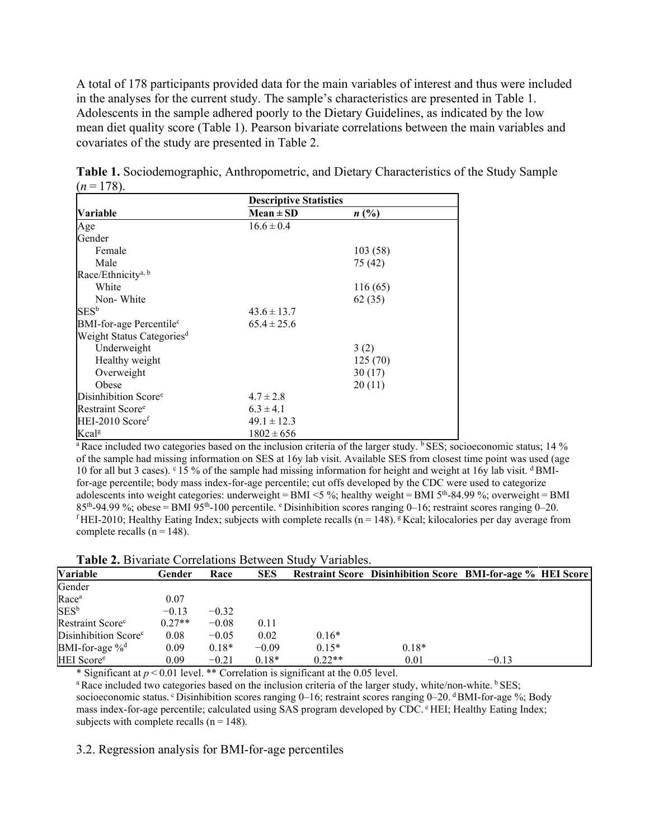A total of 178 participants provided data for the main variables of interest and thus were included in the analyses for the current study. The sample's characteristics are presented in Table 1. Adolescents in the sample adhered poorly to the Dietary Guidelines, as indicated by the low mean diet quality score (Table 1). Pearson bivariate correlations between the main variables and covariates of the study are presented in Table 2.

|                                       | <b>Descriptive Statistics</b> |         |  |
|---------------------------------------|-------------------------------|---------|--|
| Variable                              | $Mean \pm SD$                 | n(%)    |  |
| Age                                   | $16.6 \pm 0.4$                |         |  |
| Gender                                |                               |         |  |
| Female                                |                               | 103(58) |  |
| Male                                  |                               | 75 (42) |  |
| Race/Ethnicity <sup>a, b</sup>        |                               |         |  |
| White                                 |                               | 116(65) |  |
| Non-White                             |                               | 62(35)  |  |
| $SES^b$                               | $43.6 \pm 13.7$               |         |  |
| BMI-for-age Percentile <sup>c</sup>   | $65.4 \pm 25.6$               |         |  |
| Weight Status Categories <sup>d</sup> |                               |         |  |
| Underweight                           |                               | 3(2)    |  |
| Healthy weight                        |                               | 125(70) |  |
| Overweight                            |                               | 30(17)  |  |
| Obese                                 |                               | 20(11)  |  |
| Disinhibition Score <sup>e</sup>      | $4.7 \pm 2.8$                 |         |  |
| Restraint Score <sup>e</sup>          | $6.3 \pm 4.1$                 |         |  |
| HEI-2010 Scoref                       | $49.1 \pm 12.3$               |         |  |
| Kcal <sup>g</sup>                     | $1802 \pm 656$                |         |  |

**Table 1.** Sociodemographic, Anthropometric, and Dietary Characteristics of the Study Sample  $(n=178)$ .

<sup>a</sup> Race included two categories based on the inclusion criteria of the larger study. **b** SES; socioeconomic status; 14 % of the sample had missing information on SES at 16y lab visit. Available SES from closest time point was used (age 10 for all but 3 cases).  $\degree$  15 % of the sample had missing information for height and weight at 16y lab visit.  $\degree$ BMIfor-age percentile; body mass index-for-age percentile; cut offs developed by the CDC were used to categorize adolescents into weight categories: underweight = BMI  $\leq$  %; healthy weight = BMI 5<sup>th</sup>-84.99 %; overweight = BMI 85th-94.99 %; obese = BMI 95th-100 percentile. <sup>e</sup> Disinhibition scores ranging 0–16; restraint scores ranging 0–20. <sup>f</sup> HEI-2010; Healthy Eating Index; subjects with complete recalls (n = 148). <sup>g</sup> Kcal; kilocalories per day average from complete recalls  $(n = 148)$ .

| Variable                         | Gender   | Race    | <b>SES</b> |          | <b>Restraint Score Disinhibition Score BMI-for-age % HEI Score</b> |         |  |
|----------------------------------|----------|---------|------------|----------|--------------------------------------------------------------------|---------|--|
| Gender                           |          |         |            |          |                                                                    |         |  |
| Race <sup>a</sup>                | 0.07     |         |            |          |                                                                    |         |  |
| $SES^b$                          | $-0.13$  | $-0.32$ |            |          |                                                                    |         |  |
| Restraint Score <sup>c</sup>     | $0.27**$ | $-0.08$ | 0.11       |          |                                                                    |         |  |
| Disinhibition Score <sup>c</sup> | 0.08     | $-0.05$ | 0.02       | $0.16*$  |                                                                    |         |  |
| BMI-for-age % <sup>d</sup>       | 0.09     | $0.18*$ | $-0.09$    | $0.15*$  | $0.18*$                                                            |         |  |
| HEI Score <sup>e</sup>           | 0.09     | $-0.21$ | $0.18*$    | $0.22**$ | 0.01                                                               | $-0.13$ |  |

**Table 2.** Bivariate Correlations Between Study Variables.

\* Significant at *p* < 0.01 level. \*\* Correlation is significant at the 0.05 level.

<sup>a</sup> Race included two categories based on the inclusion criteria of the larger study, white/non-white. <sup>b</sup> SES; socioeconomic status. C Disinhibition scores ranging 0–16; restraint scores ranging 0–20. dBMI-for-age %; Body mass index-for-age percentile; calculated using SAS program developed by CDC. <sup>e</sup> HEI; Healthy Eating Index; subjects with complete recalls  $(n = 148)$ .

3.2. Regression analysis for BMI-for-age percentiles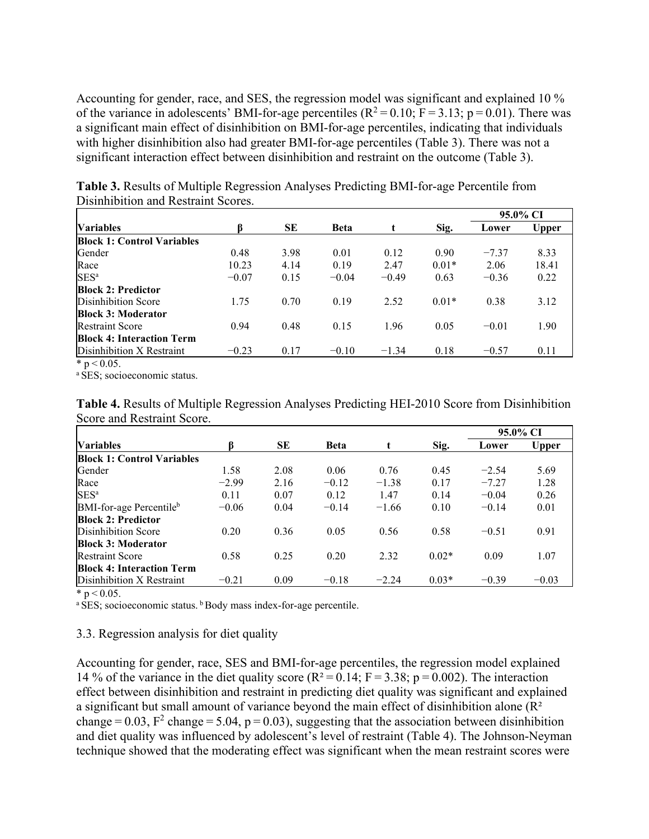Accounting for gender, race, and SES, the regression model was significant and explained 10 % of the variance in adolescents' BMI-for-age percentiles ( $R^2 = 0.10$ ; F = 3.13; p = 0.01). There was a significant main effect of disinhibition on BMI-for-age percentiles, indicating that individuals with higher disinhibition also had greater BMI-for-age percentiles (Table 3). There was not a significant interaction effect between disinhibition and restraint on the outcome (Table 3).

|                                   |         |      |             |         |         | 95.0% CI |       |
|-----------------------------------|---------|------|-------------|---------|---------|----------|-------|
| <b>Variables</b>                  | ß       | SE   | <b>Beta</b> |         | Sig.    | Lower    | Upper |
| <b>Block 1: Control Variables</b> |         |      |             |         |         |          |       |
| Gender                            | 0.48    | 3.98 | 0.01        | 0.12    | 0.90    | $-7.37$  | 8.33  |
| Race                              | 10.23   | 4.14 | 0.19        | 2.47    | $0.01*$ | 2.06     | 18.41 |
| SES <sup>a</sup>                  | $-0.07$ | 0.15 | $-0.04$     | $-0.49$ | 0.63    | $-0.36$  | 0.22  |
| <b>Block 2: Predictor</b>         |         |      |             |         |         |          |       |
| Disinhibition Score               | 1.75    | 0.70 | 0.19        | 2.52    | $0.01*$ | 0.38     | 3.12  |
| <b>Block 3: Moderator</b>         |         |      |             |         |         |          |       |
| <b>Restraint Score</b>            | 0.94    | 0.48 | 0.15        | 1.96    | 0.05    | $-0.01$  | 1.90  |
| <b>Block 4: Interaction Term</b>  |         |      |             |         |         |          |       |
| Disinhibition X Restraint         | $-0.23$ | 0.17 | $-0.10$     | $-1.34$ | 0.18    | $-0.57$  | 0.11  |
| $* - 0.05$                        |         |      |             |         |         |          |       |

**Table 3.** Results of Multiple Regression Analyses Predicting BMI-for-age Percentile from Disinhibition and Restraint Scores.

 $p \le 0.05$ .

<sup>a</sup> SES; socioeconomic status.

| Table 4. Results of Multiple Regression Analyses Predicting HEI-2010 Score from Disinhibition |  |
|-----------------------------------------------------------------------------------------------|--|
| Score and Restraint Score.                                                                    |  |

|                                     |         |      |             |         |         | 95.0% CI |              |
|-------------------------------------|---------|------|-------------|---------|---------|----------|--------------|
| <b>Variables</b>                    |         | SE   | <b>Beta</b> | t       | Sig.    | Lower    | <b>Upper</b> |
| <b>Block 1: Control Variables</b>   |         |      |             |         |         |          |              |
| Gender                              | 1.58    | 2.08 | 0.06        | 0.76    | 0.45    | $-2.54$  | 5.69         |
| Race                                | $-2.99$ | 2.16 | $-0.12$     | $-1.38$ | 0.17    | $-7.27$  | 1.28         |
| SES <sup>a</sup>                    | 0.11    | 0.07 | 0.12        | 1.47    | 0.14    | $-0.04$  | 0.26         |
| BMI-for-age Percentile <sup>b</sup> | $-0.06$ | 0.04 | $-0.14$     | $-1.66$ | 0.10    | $-0.14$  | 0.01         |
| <b>Block 2: Predictor</b>           |         |      |             |         |         |          |              |
| Disinhibition Score                 | 0.20    | 0.36 | 0.05        | 0.56    | 0.58    | $-0.51$  | 0.91         |
| <b>Block 3: Moderator</b>           |         |      |             |         |         |          |              |
| <b>Restraint Score</b>              | 0.58    | 0.25 | 0.20        | 2.32    | $0.02*$ | 0.09     | 1.07         |
| <b>Block 4: Interaction Term</b>    |         |      |             |         |         |          |              |
| Disinhibition X Restraint           | $-0.21$ | 0.09 | $-0.18$     | $-2.24$ | $0.03*$ | $-0.39$  | $-0.03$      |

 $*$  p < 0.05.

<sup>a</sup> SES; socioeconomic status. <sup>b</sup> Body mass index-for-age percentile.

#### 3.3. Regression analysis for diet quality

Accounting for gender, race, SES and BMI-for-age percentiles, the regression model explained 14 % of the variance in the diet quality score ( $R^2 = 0.14$ ;  $F = 3.38$ ; p = 0.002). The interaction effect between disinhibition and restraint in predicting diet quality was significant and explained a significant but small amount of variance beyond the main effect of disinhibition alone (R<sup>2</sup>) change $= 0.03$ ,  $F^2$  change $= 5.04$ , p $= 0.03$ ), suggesting that the association between disinhibition and diet quality was influenced by adolescent's level of restraint (Table 4). The Johnson-Neyman technique showed that the moderating effect was significant when the mean restraint scores were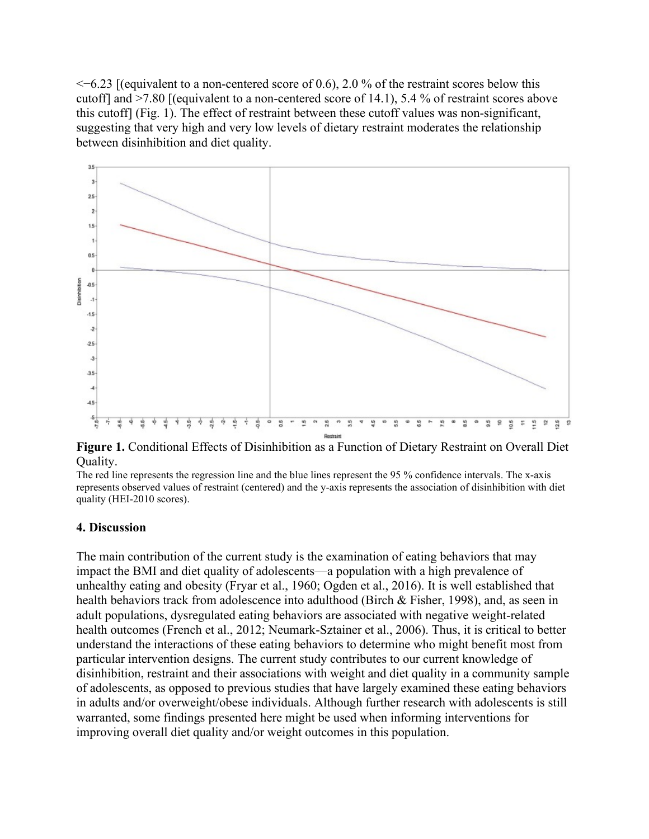$\leq$ −6.23 [(equivalent to a non-centered score of 0.6), 2.0 % of the restraint scores below this cutoff] and >7.80 [(equivalent to a non-centered score of 14.1), 5.4 % of restraint scores above this cutoff] (Fig. 1). The effect of restraint between these cutoff values was non-significant, suggesting that very high and very low levels of dietary restraint moderates the relationship between disinhibition and diet quality.



**Figure 1.** Conditional Effects of Disinhibition as a Function of Dietary Restraint on Overall Diet Quality.

The red line represents the regression line and the blue lines represent the 95 % confidence intervals. The x-axis represents observed values of restraint (centered) and the y-axis represents the association of disinhibition with diet quality (HEI-2010 scores).

#### **4. Discussion**

The main contribution of the current study is the examination of eating behaviors that may impact the BMI and diet quality of adolescents—a population with a high prevalence of unhealthy eating and obesity (Fryar et al., 1960; Ogden et al., 2016). It is well established that health behaviors track from adolescence into adulthood (Birch & Fisher, 1998), and, as seen in adult populations, dysregulated eating behaviors are associated with negative weight-related health outcomes (French et al., 2012; Neumark-Sztainer et al., 2006). Thus, it is critical to better understand the interactions of these eating behaviors to determine who might benefit most from particular intervention designs. The current study contributes to our current knowledge of disinhibition, restraint and their associations with weight and diet quality in a community sample of adolescents, as opposed to previous studies that have largely examined these eating behaviors in adults and/or overweight/obese individuals. Although further research with adolescents is still warranted, some findings presented here might be used when informing interventions for improving overall diet quality and/or weight outcomes in this population.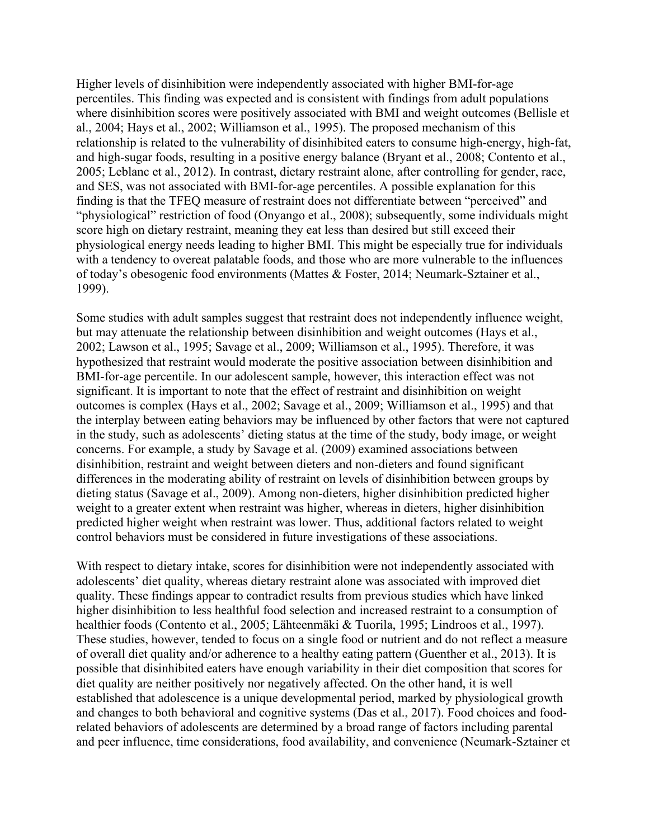Higher levels of disinhibition were independently associated with higher BMI-for-age percentiles. This finding was expected and is consistent with findings from adult populations where disinhibition scores were positively associated with BMI and weight outcomes (Bellisle et al., 2004; Hays et al., 2002; Williamson et al., 1995). The proposed mechanism of this relationship is related to the vulnerability of disinhibited eaters to consume high-energy, high-fat, and high-sugar foods, resulting in a positive energy balance (Bryant et al., 2008; Contento et al., 2005; Leblanc et al., 2012). In contrast, dietary restraint alone, after controlling for gender, race, and SES, was not associated with BMI-for-age percentiles. A possible explanation for this finding is that the TFEQ measure of restraint does not differentiate between "perceived" and "physiological" restriction of food (Onyango et al., 2008); subsequently, some individuals might score high on dietary restraint, meaning they eat less than desired but still exceed their physiological energy needs leading to higher BMI. This might be especially true for individuals with a tendency to overeat palatable foods, and those who are more vulnerable to the influences of today's obesogenic food environments (Mattes & Foster, 2014; Neumark-Sztainer et al., 1999).

Some studies with adult samples suggest that restraint does not independently influence weight, but may attenuate the relationship between disinhibition and weight outcomes (Hays et al., 2002; Lawson et al., 1995; Savage et al., 2009; Williamson et al., 1995). Therefore, it was hypothesized that restraint would moderate the positive association between disinhibition and BMI-for-age percentile. In our adolescent sample, however, this interaction effect was not significant. It is important to note that the effect of restraint and disinhibition on weight outcomes is complex (Hays et al., 2002; Savage et al., 2009; Williamson et al., 1995) and that the interplay between eating behaviors may be influenced by other factors that were not captured in the study, such as adolescents' dieting status at the time of the study, body image, or weight concerns. For example, a study by Savage et al. (2009) examined associations between disinhibition, restraint and weight between dieters and non-dieters and found significant differences in the moderating ability of restraint on levels of disinhibition between groups by dieting status (Savage et al., 2009). Among non-dieters, higher disinhibition predicted higher weight to a greater extent when restraint was higher, whereas in dieters, higher disinhibition predicted higher weight when restraint was lower. Thus, additional factors related to weight control behaviors must be considered in future investigations of these associations.

With respect to dietary intake, scores for disinhibition were not independently associated with adolescents' diet quality, whereas dietary restraint alone was associated with improved diet quality. These findings appear to contradict results from previous studies which have linked higher disinhibition to less healthful food selection and increased restraint to a consumption of healthier foods (Contento et al., 2005; Lähteenmäki & Tuorila, 1995; Lindroos et al., 1997). These studies, however, tended to focus on a single food or nutrient and do not reflect a measure of overall diet quality and/or adherence to a healthy eating pattern (Guenther et al., 2013). It is possible that disinhibited eaters have enough variability in their diet composition that scores for diet quality are neither positively nor negatively affected. On the other hand, it is well established that adolescence is a unique developmental period, marked by physiological growth and changes to both behavioral and cognitive systems (Das et al., 2017). Food choices and foodrelated behaviors of adolescents are determined by a broad range of factors including parental and peer influence, time considerations, food availability, and convenience (Neumark-Sztainer et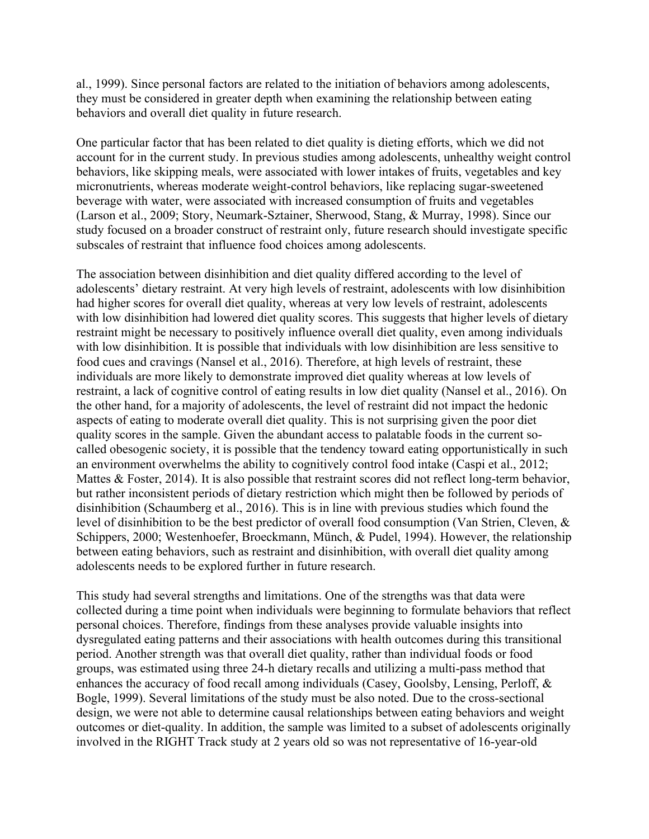al., 1999). Since personal factors are related to the initiation of behaviors among adolescents, they must be considered in greater depth when examining the relationship between eating behaviors and overall diet quality in future research.

One particular factor that has been related to diet quality is dieting efforts, which we did not account for in the current study. In previous studies among adolescents, unhealthy weight control behaviors, like skipping meals, were associated with lower intakes of fruits, vegetables and key micronutrients, whereas moderate weight-control behaviors, like replacing sugar-sweetened beverage with water, were associated with increased consumption of fruits and vegetables (Larson et al., 2009; Story, Neumark-Sztainer, Sherwood, Stang, & Murray, 1998). Since our study focused on a broader construct of restraint only, future research should investigate specific subscales of restraint that influence food choices among adolescents.

The association between disinhibition and diet quality differed according to the level of adolescents' dietary restraint. At very high levels of restraint, adolescents with low disinhibition had higher scores for overall diet quality, whereas at very low levels of restraint, adolescents with low disinhibition had lowered diet quality scores. This suggests that higher levels of dietary restraint might be necessary to positively influence overall diet quality, even among individuals with low disinhibition. It is possible that individuals with low disinhibition are less sensitive to food cues and cravings (Nansel et al., 2016). Therefore, at high levels of restraint, these individuals are more likely to demonstrate improved diet quality whereas at low levels of restraint, a lack of cognitive control of eating results in low diet quality (Nansel et al., 2016). On the other hand, for a majority of adolescents, the level of restraint did not impact the hedonic aspects of eating to moderate overall diet quality. This is not surprising given the poor diet quality scores in the sample. Given the abundant access to palatable foods in the current socalled obesogenic society, it is possible that the tendency toward eating opportunistically in such an environment overwhelms the ability to cognitively control food intake (Caspi et al., 2012; Mattes & Foster, 2014). It is also possible that restraint scores did not reflect long-term behavior, but rather inconsistent periods of dietary restriction which might then be followed by periods of disinhibition (Schaumberg et al., 2016). This is in line with previous studies which found the level of disinhibition to be the best predictor of overall food consumption (Van Strien, Cleven, & Schippers, 2000; Westenhoefer, Broeckmann, Münch, & Pudel, 1994). However, the relationship between eating behaviors, such as restraint and disinhibition, with overall diet quality among adolescents needs to be explored further in future research.

This study had several strengths and limitations. One of the strengths was that data were collected during a time point when individuals were beginning to formulate behaviors that reflect personal choices. Therefore, findings from these analyses provide valuable insights into dysregulated eating patterns and their associations with health outcomes during this transitional period. Another strength was that overall diet quality, rather than individual foods or food groups, was estimated using three 24-h dietary recalls and utilizing a multi-pass method that enhances the accuracy of food recall among individuals (Casey, Goolsby, Lensing, Perloff, & Bogle, 1999). Several limitations of the study must be also noted. Due to the cross-sectional design, we were not able to determine causal relationships between eating behaviors and weight outcomes or diet-quality. In addition, the sample was limited to a subset of adolescents originally involved in the RIGHT Track study at 2 years old so was not representative of 16-year-old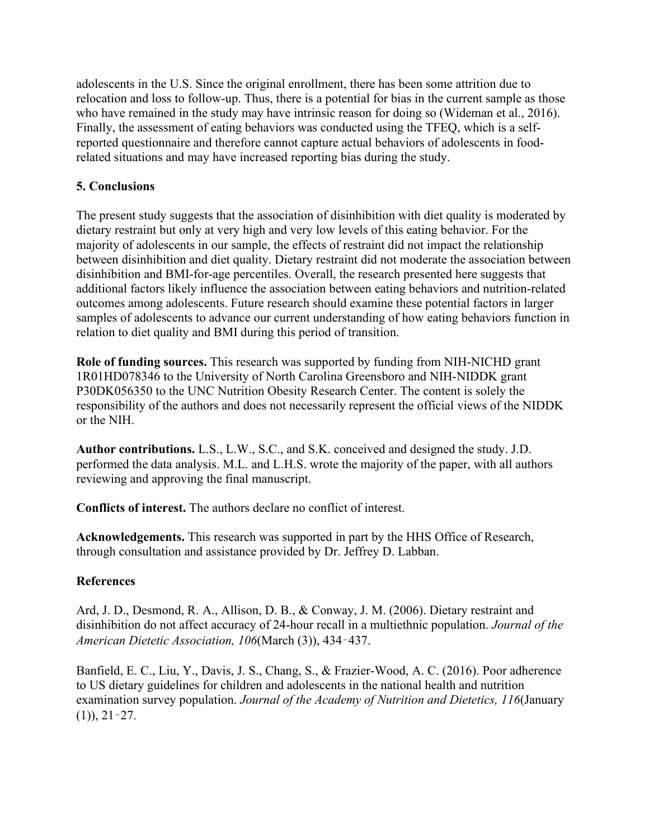adolescents in the U.S. Since the original enrollment, there has been some attrition due to relocation and loss to follow-up. Thus, there is a potential for bias in the current sample as those who have remained in the study may have intrinsic reason for doing so (Wideman et al., 2016). Finally, the assessment of eating behaviors was conducted using the TFEQ, which is a selfreported questionnaire and therefore cannot capture actual behaviors of adolescents in foodrelated situations and may have increased reporting bias during the study.

## **5. Conclusions**

The present study suggests that the association of disinhibition with diet quality is moderated by dietary restraint but only at very high and very low levels of this eating behavior. For the majority of adolescents in our sample, the effects of restraint did not impact the relationship between disinhibition and diet quality. Dietary restraint did not moderate the association between disinhibition and BMI-for-age percentiles. Overall, the research presented here suggests that additional factors likely influence the association between eating behaviors and nutrition-related outcomes among adolescents. Future research should examine these potential factors in larger samples of adolescents to advance our current understanding of how eating behaviors function in relation to diet quality and BMI during this period of transition.

**Role of funding sources.** This research was supported by funding from NIH-NICHD grant 1R01HD078346 to the University of North Carolina Greensboro and NIH-NIDDK grant P30DK056350 to the UNC Nutrition Obesity Research Center. The content is solely the responsibility of the authors and does not necessarily represent the official views of the NIDDK or the NIH.

**Author contributions.** L.S., L.W., S.C., and S.K. conceived and designed the study. J.D. performed the data analysis. M.L. and L.H.S. wrote the majority of the paper, with all authors reviewing and approving the final manuscript.

**Conflicts of interest.** The authors declare no conflict of interest.

**Acknowledgements.** This research was supported in part by the HHS Office of Research, through consultation and assistance provided by Dr. Jeffrey D. Labban.

# **References**

Ard, J. D., Desmond, R. A., Allison, D. B., & Conway, J. M. (2006). Dietary restraint and disinhibition do not affect accuracy of 24-hour recall in a multiethnic population. *Journal of the American Dietetic Association, 106*(March (3)), 434–437.

Banfield, E. C., Liu, Y., Davis, J. S., Chang, S., & Frazier-Wood, A. C. (2016). Poor adherence to US dietary guidelines for children and adolescents in the national health and nutrition examination survey population. *Journal of the Academy of Nutrition and Dietetics, 116*(January  $(1)$ , 21 - 27.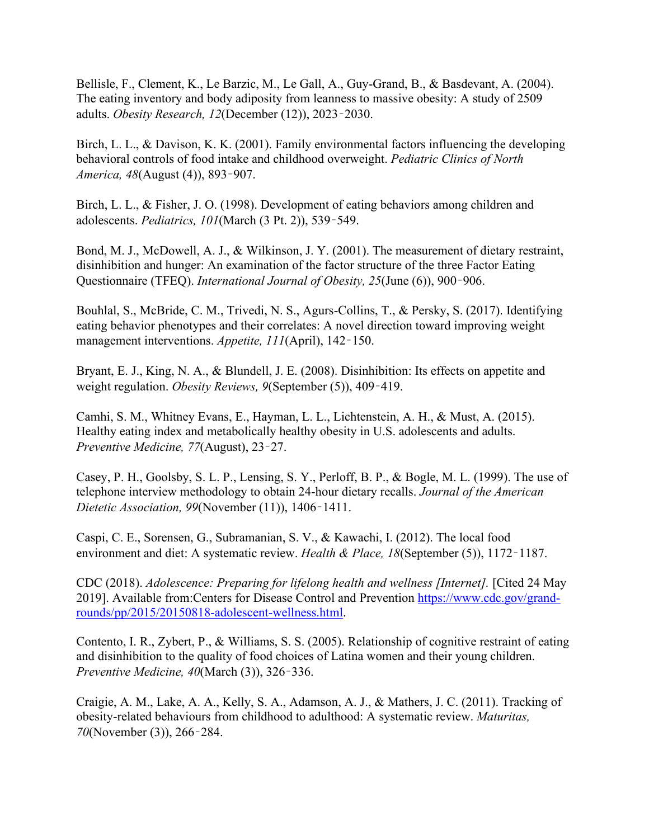Bellisle, F., Clement, K., Le Barzic, M., Le Gall, A., Guy-Grand, B., & Basdevant, A. (2004). The eating inventory and body adiposity from leanness to massive obesity: A study of 2509 adults. *Obesity Research, 12*(December (12)), 2023–2030.

Birch, L. L., & Davison, K. K. (2001). Family environmental factors influencing the developing behavioral controls of food intake and childhood overweight. *Pediatric Clinics of North America, 48*(August (4)), 893–907.

Birch, L. L., & Fisher, J. O. (1998). Development of eating behaviors among children and adolescents. *Pediatrics, 101*(March (3 Pt. 2)), 539–549.

Bond, M. J., McDowell, A. J., & Wilkinson, J. Y. (2001). The measurement of dietary restraint, disinhibition and hunger: An examination of the factor structure of the three Factor Eating Questionnaire (TFEQ). *International Journal of Obesity, 25*(June (6)), 900–906.

Bouhlal, S., McBride, C. M., Trivedi, N. S., Agurs-Collins, T., & Persky, S. (2017). Identifying eating behavior phenotypes and their correlates: A novel direction toward improving weight management interventions. *Appetite, 111*(April), 142–150.

Bryant, E. J., King, N. A., & Blundell, J. E. (2008). Disinhibition: Its effects on appetite and weight regulation. *Obesity Reviews, 9*(September (5)), 409–419.

Camhi, S. M., Whitney Evans, E., Hayman, L. L., Lichtenstein, A. H., & Must, A. (2015). Healthy eating index and metabolically healthy obesity in U.S. adolescents and adults. *Preventive Medicine, 77*(August), 23–27.

Casey, P. H., Goolsby, S. L. P., Lensing, S. Y., Perloff, B. P., & Bogle, M. L. (1999). The use of telephone interview methodology to obtain 24-hour dietary recalls. *Journal of the American Dietetic Association, 99*(November (11)), 1406–1411.

Caspi, C. E., Sorensen, G., Subramanian, S. V., & Kawachi, I. (2012). The local food environment and diet: A systematic review. *Health & Place, 18*(September (5)), 1172–1187.

CDC (2018). *Adolescence: Preparing for lifelong health and wellness [Internet].* [Cited 24 May 2019]. Available from:Centers for Disease Control and Prevention [https://www.cdc.gov/grand](https://www.cdc.gov/grand-rounds/pp/2015/20150818-adolescent-wellness.html)rounds/pp/2015/20150818[-adolescent-wellness.html.](https://www.cdc.gov/grand-rounds/pp/2015/20150818-adolescent-wellness.html)

Contento, I. R., Zybert, P., & Williams, S. S. (2005). Relationship of cognitive restraint of eating and disinhibition to the quality of food choices of Latina women and their young children. *Preventive Medicine, 40*(March (3)), 326–336.

Craigie, A. M., Lake, A. A., Kelly, S. A., Adamson, A. J., & Mathers, J. C. (2011). Tracking of obesity-related behaviours from childhood to adulthood: A systematic review. *Maturitas, 70*(November (3)), 266–284.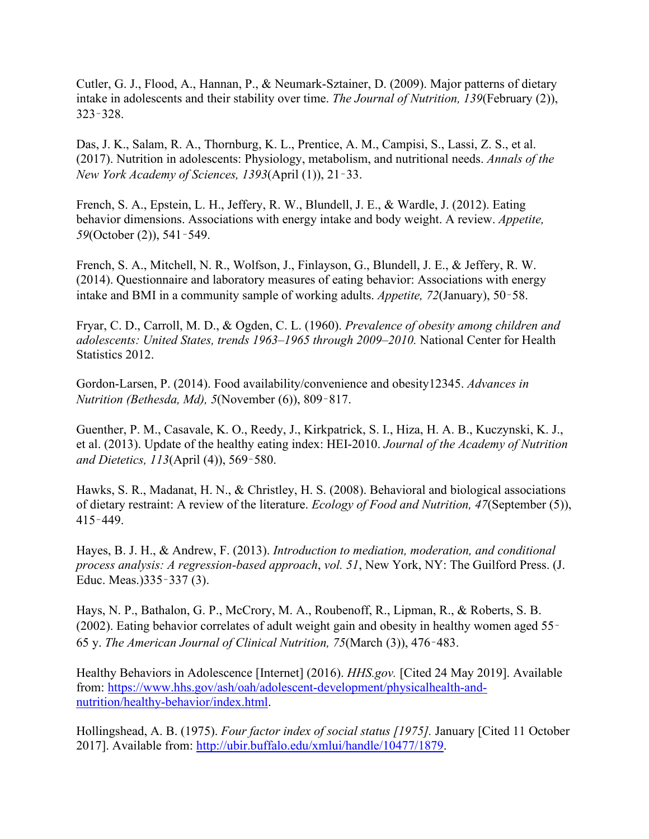Cutler, G. J., Flood, A., Hannan, P., & Neumark-Sztainer, D. (2009). Major patterns of dietary intake in adolescents and their stability over time. *The Journal of Nutrition, 139*(February (2)), 323–328.

Das, J. K., Salam, R. A., Thornburg, K. L., Prentice, A. M., Campisi, S., Lassi, Z. S., et al. (2017). Nutrition in adolescents: Physiology, metabolism, and nutritional needs. *Annals of the New York Academy of Sciences, 1393*(April (1)), 21–33.

French, S. A., Epstein, L. H., Jeffery, R. W., Blundell, J. E., & Wardle, J. (2012). Eating behavior dimensions. Associations with energy intake and body weight. A review. *Appetite, 59*(October (2)), 541–549.

French, S. A., Mitchell, N. R., Wolfson, J., Finlayson, G., Blundell, J. E., & Jeffery, R. W. (2014). Questionnaire and laboratory measures of eating behavior: Associations with energy intake and BMI in a community sample of working adults. *Appetite, 72*(January), 50–58.

Fryar, C. D., Carroll, M. D., & Ogden, C. L. (1960). *Prevalence of obesity among children and adolescents: United States, trends 1963–1965 through 2009–2010.* National Center for Health Statistics 2012.

Gordon-Larsen, P. (2014). Food availability/convenience and obesity12345. *Advances in Nutrition (Bethesda, Md), 5*(November (6)), 809–817.

Guenther, P. M., Casavale, K. O., Reedy, J., Kirkpatrick, S. I., Hiza, H. A. B., Kuczynski, K. J., et al. (2013). Update of the healthy eating index: HEI-2010. *Journal of the Academy of Nutrition and Dietetics, 113*(April (4)), 569–580.

Hawks, S. R., Madanat, H. N., & Christley, H. S. (2008). Behavioral and biological associations of dietary restraint: A review of the literature. *Ecology of Food and Nutrition, 47*(September (5)), 415–449.

Hayes, B. J. H., & Andrew, F. (2013). *Introduction to mediation, moderation, and conditional process analysis: A regression-based approach*, *vol. 51*, New York, NY: The Guilford Press. (J. Educ. Meas.)335–337 (3).

Hays, N. P., Bathalon, G. P., McCrory, M. A., Roubenoff, R., Lipman, R., & Roberts, S. B. (2002). Eating behavior correlates of adult weight gain and obesity in healthy women aged 55– 65 y. *The American Journal of Clinical Nutrition, 75*(March (3)), 476–483.

Healthy Behaviors in Adolescence [Internet] (2016). *HHS.gov.* [Cited 24 May 2019]. Available from: [https://www.hhs.gov/ash/oah/adolescent-development/physicalhealth-and](https://www.hhs.gov/ash/oah/adolescent-development/physicalhealth-and-nutrition/healthy-behavior/index.html)[nutrition/healthy-behavior/index.html.](https://www.hhs.gov/ash/oah/adolescent-development/physicalhealth-and-nutrition/healthy-behavior/index.html)

Hollingshead, A. B. (1975). *Four factor index of social status [1975].* January [Cited 11 October 2017]. Available from: <http://ubir.buffalo.edu/xmlui/handle/10477/1879>.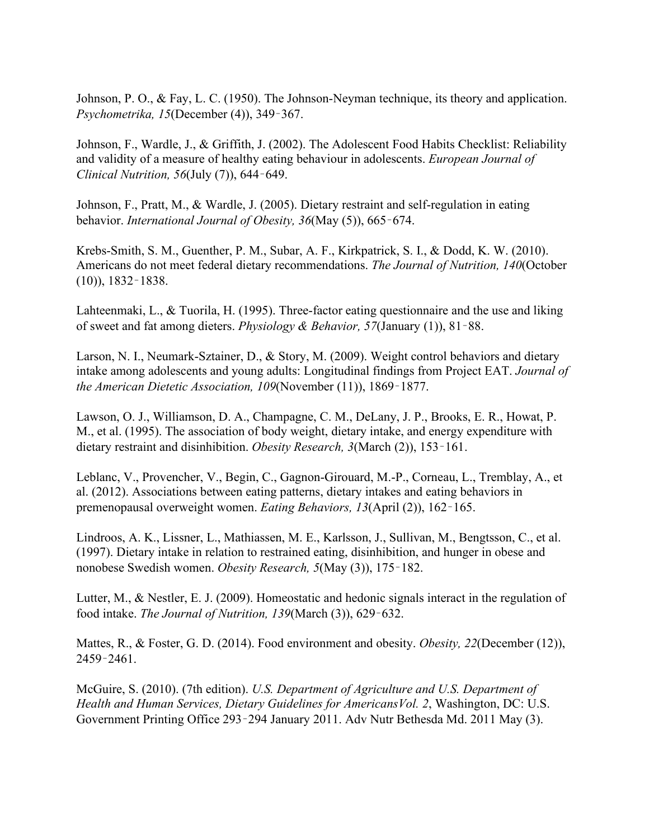Johnson, P. O., & Fay, L. C. (1950). The Johnson-Neyman technique, its theory and application. *Psychometrika, 15*(December (4)), 349–367.

Johnson, F., Wardle, J., & Griffith, J. (2002). The Adolescent Food Habits Checklist: Reliability and validity of a measure of healthy eating behaviour in adolescents. *European Journal of Clinical Nutrition, 56*(July (7)), 644–649.

Johnson, F., Pratt, M., & Wardle, J. (2005). Dietary restraint and self-regulation in eating behavior. *International Journal of Obesity, 36*(May (5)), 665–674.

Krebs-Smith, S. M., Guenther, P. M., Subar, A. F., Kirkpatrick, S. I., & Dodd, K. W. (2010). Americans do not meet federal dietary recommendations. *The Journal of Nutrition, 140*(October (10)), 1832–1838.

Lahteenmaki, L., & Tuorila, H. (1995). Three-factor eating questionnaire and the use and liking of sweet and fat among dieters. *Physiology & Behavior, 57*(January (1)), 81–88.

Larson, N. I., Neumark-Sztainer, D., & Story, M. (2009). Weight control behaviors and dietary intake among adolescents and young adults: Longitudinal findings from Project EAT. *Journal of the American Dietetic Association, 109*(November (11)), 1869–1877.

Lawson, O. J., Williamson, D. A., Champagne, C. M., DeLany, J. P., Brooks, E. R., Howat, P. M., et al. (1995). The association of body weight, dietary intake, and energy expenditure with dietary restraint and disinhibition. *Obesity Research, 3*(March (2)), 153–161.

Leblanc, V., Provencher, V., Begin, C., Gagnon-Girouard, M.-P., Corneau, L., Tremblay, A., et al. (2012). Associations between eating patterns, dietary intakes and eating behaviors in premenopausal overweight women. *Eating Behaviors, 13*(April (2)), 162–165.

Lindroos, A. K., Lissner, L., Mathiassen, M. E., Karlsson, J., Sullivan, M., Bengtsson, C., et al. (1997). Dietary intake in relation to restrained eating, disinhibition, and hunger in obese and nonobese Swedish women. *Obesity Research, 5*(May (3)), 175–182.

Lutter, M., & Nestler, E. J. (2009). Homeostatic and hedonic signals interact in the regulation of food intake. *The Journal of Nutrition, 139*(March (3)), 629–632.

Mattes, R., & Foster, G. D. (2014). Food environment and obesity. *Obesity, 22*(December (12)), 2459–2461.

McGuire, S. (2010). (7th edition). *U.S. Department of Agriculture and U.S. Department of Health and Human Services, Dietary Guidelines for AmericansVol. 2*, Washington, DC: U.S. Government Printing Office 293–294 January 2011. Adv Nutr Bethesda Md. 2011 May (3).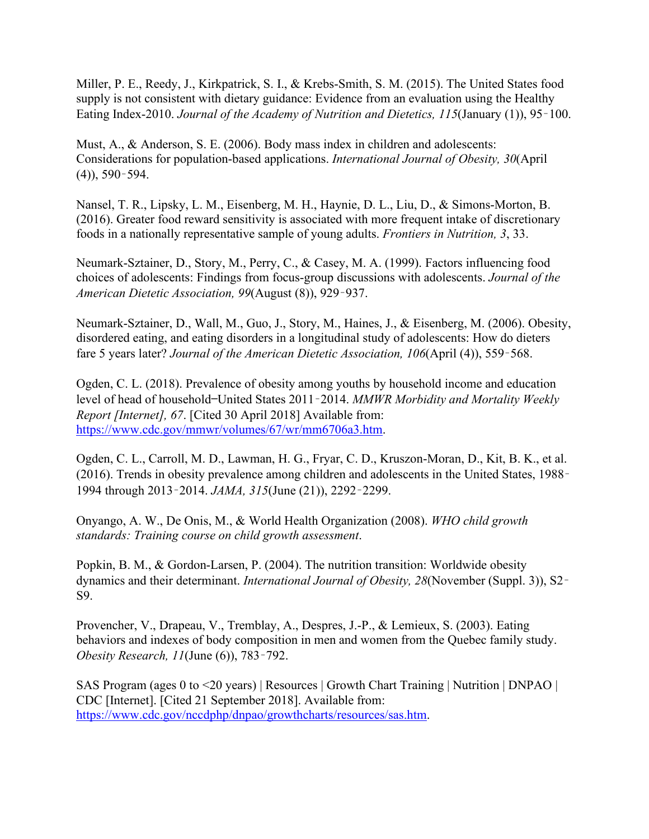Miller, P. E., Reedy, J., Kirkpatrick, S. I., & Krebs-Smith, S. M. (2015). The United States food supply is not consistent with dietary guidance: Evidence from an evaluation using the Healthy Eating Index-2010. *Journal of the Academy of Nutrition and Dietetics, 115*(January (1)), 95–100.

Must, A., & Anderson, S. E. (2006). Body mass index in children and adolescents: Considerations for population-based applications. *International Journal of Obesity, 30*(April (4)), 590–594.

Nansel, T. R., Lipsky, L. M., Eisenberg, M. H., Haynie, D. L., Liu, D., & Simons-Morton, B. (2016). Greater food reward sensitivity is associated with more frequent intake of discretionary foods in a nationally representative sample of young adults. *Frontiers in Nutrition, 3*, 33.

Neumark-Sztainer, D., Story, M., Perry, C., & Casey, M. A. (1999). Factors influencing food choices of adolescents: Findings from focus-group discussions with adolescents. *Journal of the American Dietetic Association, 99*(August (8)), 929–937.

Neumark-Sztainer, D., Wall, M., Guo, J., Story, M., Haines, J., & Eisenberg, M. (2006). Obesity, disordered eating, and eating disorders in a longitudinal study of adolescents: How do dieters fare 5 years later? *Journal of the American Dietetic Association, 106*(April (4)), 559–568.

Ogden, C. L. (2018). Prevalence of obesity among youths by household income and education level of head of household—United States 2011–2014. *MMWR Morbidity and Mortality Weekly Report [Internet], 67*. [Cited 30 April 2018] Available from: https:/[/www.cdc.gov/mmwr/volumes/67/wr/mm6706a3.htm](https://www.cdc.gov/mmwr/volumes/67/wr/mm6706a3.htm).

Ogden, C. L., Carroll, M. D., Lawman, H. G., Fryar, C. D., Kruszon-Moran, D., Kit, B. K., et al. (2016). Trends in obesity prevalence among children and adolescents in the United States, 1988– 1994 through 2013–2014. *JAMA, 315*(June (21)), 2292–2299.

Onyango, A. W., De Onis, M., & World Health Organization (2008). *WHO child growth standards: Training course on child growth assessment*.

Popkin, B. M., & Gordon-Larsen, P. (2004). The nutrition transition: Worldwide obesity dynamics and their determinant. *International Journal of Obesity, 28*(November (Suppl. 3)), S2– S9.

Provencher, V., Drapeau, V., Tremblay, A., Despres, J.-P., & Lemieux, S. (2003). Eating behaviors and indexes of body composition in men and women from the Quebec family study. *Obesity Research, 11*(June (6)), 783–792.

SAS Program (ages 0 to <20 years) | Resources | Growth Chart Training | Nutrition | DNPAO | CDC [Internet]. [Cited 21 September 2018]. Available from: [https://www.cdc.gov/nccdphp/dnpao/growthcharts/resources/sas.htm.](https://www.cdc.gov/nccdphp/dnpao/growthcharts/resources/sas.htm)